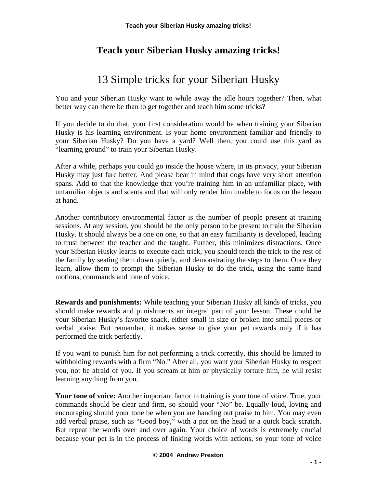# 13 Simple tricks for your Siberian Husky

You and your Siberian Husky want to while away the idle hours together? Then, what better way can there be than to get together and teach him some tricks?

If you decide to do that, your first consideration would be when training your Siberian Husky is his learning environment. Is your home environment familiar and friendly to your Siberian Husky? Do you have a yard? Well then, you could use this yard as "learning ground" to train your Siberian Husky.

After a while, perhaps you could go inside the house where, in its privacy, your Siberian Husky may just fare better. And please bear in mind that dogs have very short attention spans. Add to that the knowledge that you're training him in an unfamiliar place, with unfamiliar objects and scents and that will only render him unable to focus on the lesson at hand.

Another contributory environmental factor is the number of people present at training sessions. At any session, you should be the only person to be present to train the Siberian Husky. It should always be a one on one, so that an easy familiarity is developed, leading to trust between the teacher and the taught. Further, this minimizes distractions. Once your Siberian Husky learns to execute each trick, you should teach the trick to the rest of the family by seating them down quietly, and demonstrating the steps to them. Once they learn, allow them to prompt the Siberian Husky to do the trick, using the same hand motions, commands and tone of voice.

**Rewards and punishments:** While teaching your Siberian Husky all kinds of tricks, you should make rewards and punishments an integral part of your lesson. These could be your Siberian Husky's favorite snack, either small in size or broken into small pieces or verbal praise. But remember, it makes sense to give your pet rewards only if it has performed the trick perfectly.

If you want to punish him for not performing a trick correctly, this should be limited to withholding rewards with a firm "No." After all, you want your Siberian Husky to respect you, not be afraid of you. If you scream at him or physically torture him, he will resist learning anything from you.

Your tone of voice: Another important factor in training is your tone of voice. True, your commands should be clear and firm, so should your "No" be. Equally loud, loving and encouraging should your tone be when you are handing out praise to him. You may even add verbal praise, such as "Good boy," with a pat on the head or a quick back scratch. But repeat the words over and over again. Your choice of words is extremely crucial because your pet is in the process of linking words with actions, so your tone of voice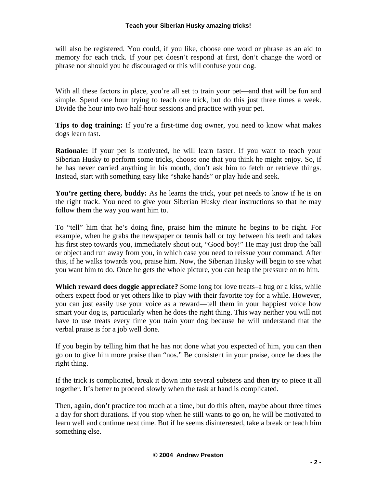will also be registered. You could, if you like, choose one word or phrase as an aid to memory for each trick. If your pet doesn't respond at first, don't change the word or phrase nor should you be discouraged or this will confuse your dog.

With all these factors in place, you're all set to train your pet—and that will be fun and simple. Spend one hour trying to teach one trick, but do this just three times a week. Divide the hour into two half-hour sessions and practice with your pet.

**Tips to dog training:** If you're a first-time dog owner, you need to know what makes dogs learn fast.

**Rationale:** If your pet is motivated, he will learn faster. If you want to teach your Siberian Husky to perform some tricks, choose one that you think he might enjoy. So, if he has never carried anything in his mouth, don't ask him to fetch or retrieve things. Instead, start with something easy like "shake hands" or play hide and seek.

You're getting there, buddy: As he learns the trick, your pet needs to know if he is on the right track. You need to give your Siberian Husky clear instructions so that he may follow them the way you want him to.

To "tell" him that he's doing fine, praise him the minute he begins to be right. For example, when he grabs the newspaper or tennis ball or toy between his teeth and takes his first step towards you, immediately shout out, "Good boy!" He may just drop the ball or object and run away from you, in which case you need to reissue your command. After this, if he walks towards you, praise him. Now, the Siberian Husky will begin to see what you want him to do. Once he gets the whole picture, you can heap the pressure on to him.

**Which reward does doggie appreciate?** Some long for love treats–a hug or a kiss, while others expect food or yet others like to play with their favorite toy for a while. However, you can just easily use your voice as a reward—tell them in your happiest voice how smart your dog is, particularly when he does the right thing. This way neither you will not have to use treats every time you train your dog because he will understand that the verbal praise is for a job well done.

If you begin by telling him that he has not done what you expected of him, you can then go on to give him more praise than "nos." Be consistent in your praise, once he does the right thing.

If the trick is complicated, break it down into several substeps and then try to piece it all together. It's better to proceed slowly when the task at hand is complicated.

Then, again, don't practice too much at a time, but do this often, maybe about three times a day for short durations. If you stop when he still wants to go on, he will be motivated to learn well and continue next time. But if he seems disinterested, take a break or teach him something else.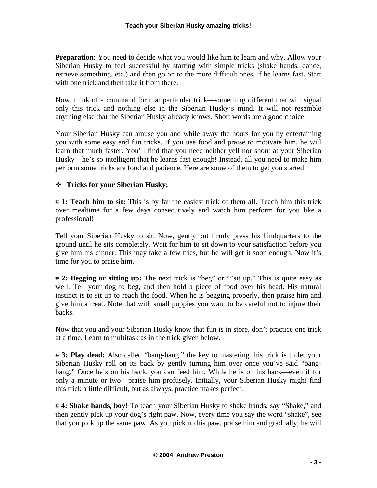**Preparation:** You need to decide what you would like him to learn and why. Allow your Siberian Husky to feel successful by starting with simple tricks (shake hands, dance, retrieve something, etc.) and then go on to the more difficult ones, if he learns fast. Start with one trick and then take it from there.

Now, think of a command for that particular trick—something different that will signal only this trick and nothing else in the Siberian Husky's mind. It will not resemble anything else that the Siberian Husky already knows. Short words are a good choice.

Your Siberian Husky can amuse you and while away the hours for you by entertaining you with some easy and fun tricks. If you use food and praise to motivate him, he will learn that much faster. You'll find that you need neither yell nor shout at your Siberian Husky—he's so intelligent that he learns fast enough! Instead, all you need to make him perform some tricks are food and patience. Here are some of them to get you started:

## **Tricks for your Siberian Husky:**

# **1: Teach him to sit:** This is by far the easiest trick of them all. Teach him this trick over mealtime for a few days consecutively and watch him perform for you like a professional!

Tell your Siberian Husky to sit. Now, gently but firmly press his hindquarters to the ground until he sits completely. Wait for him to sit down to your satisfaction before you give him his dinner. This may take a few tries, but he will get it soon enough. Now it's time for you to praise him.

# **2: Begging or sitting up:** The next trick is "beg" or ""sit up." This is quite easy as well. Tell your dog to beg, and then hold a piece of food over his head. His natural instinct is to sit up to reach the food. When he is begging properly, then praise him and give him a treat. Note that with small puppies you want to be careful not to injure their backs.

Now that you and your Siberian Husky know that fun is in store, don't practice one trick at a time. Learn to multitask as in the trick given below.

# **3: Play dead:** Also called "bang-bang," the key to mastering this trick is to let your Siberian Husky roll on its back by gently turning him over once you've said "bangbang." Once he's on his back, you can feed him. While he is on his back—even if for only a minute or two—praise him profusely. Initially, your Siberian Husky might find this trick a little difficult, but as always, practice makes perfect.

# **4: Shake hands, boy!** To teach your Siberian Husky to shake hands, say "Shake," and then gently pick up your dog's right paw. Now, every time you say the word "shake", see that you pick up the same paw. As you pick up his paw, praise him and gradually, he will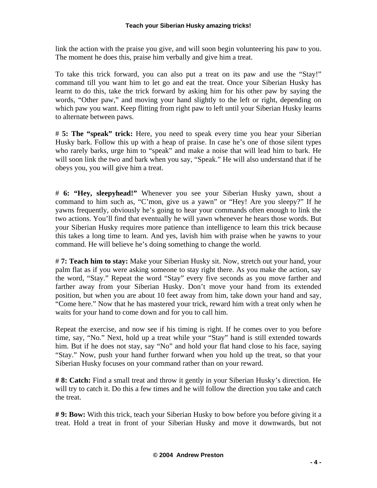link the action with the praise you give, and will soon begin volunteering his paw to you. The moment he does this, praise him verbally and give him a treat.

To take this trick forward, you can also put a treat on its paw and use the "Stay!" command till you want him to let go and eat the treat. Once your Siberian Husky has learnt to do this, take the trick forward by asking him for his other paw by saying the words, "Other paw," and moving your hand slightly to the left or right, depending on which paw you want. Keep flitting from right paw to left until your Siberian Husky learns to alternate between paws.

# **5: The "speak" trick:** Here, you need to speak every time you hear your Siberian Husky bark. Follow this up with a heap of praise. In case he's one of those silent types who rarely barks, urge him to "speak" and make a noise that will lead him to bark. He will soon link the two and bark when you say, "Speak." He will also understand that if he obeys you, you will give him a treat.

# **6: "Hey, sleepyhead!"** Whenever you see your Siberian Husky yawn, shout a command to him such as, "C'mon, give us a yawn" or "Hey! Are you sleepy?" If he yawns frequently, obviously he's going to hear your commands often enough to link the two actions. You'll find that eventually he will yawn whenever he hears those words. But your Siberian Husky requires more patience than intelligence to learn this trick because this takes a long time to learn. And yes, lavish him with praise when he yawns to your command. He will believe he's doing something to change the world.

# **7: Teach him to stay:** Make your Siberian Husky sit. Now, stretch out your hand, your palm flat as if you were asking someone to stay right there. As you make the action, say the word, "Stay." Repeat the word "Stay" every five seconds as you move farther and farther away from your Siberian Husky. Don't move your hand from its extended position, but when you are about 10 feet away from him, take down your hand and say, "Come here." Now that he has mastered your trick, reward him with a treat only when he waits for your hand to come down and for you to call him.

Repeat the exercise, and now see if his timing is right. If he comes over to you before time, say, "No." Next, hold up a treat while your "Stay" hand is still extended towards him. But if he does not stay, say "No" and hold your flat hand close to his face, saying "Stay." Now, push your hand further forward when you hold up the treat, so that your Siberian Husky focuses on your command rather than on your reward.

**# 8: Catch:** Find a small treat and throw it gently in your Siberian Husky's direction. He will try to catch it. Do this a few times and he will follow the direction you take and catch the treat.

**# 9: Bow:** With this trick, teach your Siberian Husky to bow before you before giving it a treat. Hold a treat in front of your Siberian Husky and move it downwards, but not